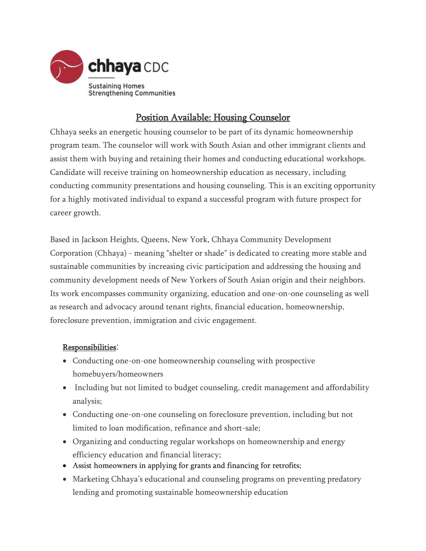

## Position Available: Housing Counselor

Chhaya seeks an energetic housing counselor to be part of its dynamic homeownership program team. The counselor will work with South Asian and other immigrant clients and assist them with buying and retaining their homes and conducting educational workshops. Candidate will receive training on homeownership education as necessary, including conducting community presentations and housing counseling. This is an exciting opportunity for a highly motivated individual to expand a successful program with future prospect for career growth.

Based in Jackson Heights, Queens, New York, Chhaya Community Development Corporation (Chhaya) - meaning "shelter or shade" is dedicated to creating more stable and sustainable communities by increasing civic participation and addressing the housing and community development needs of New Yorkers of South Asian origin and their neighbors. Its work encompasses community organizing, education and one-on-one counseling as well as research and advocacy around tenant rights, financial education, homeownership, foreclosure prevention, immigration and civic engagement.

## Responsibilities:

- Conducting one-on-one homeownership counseling with prospective homebuyers/homeowners
- Including but not limited to budget counseling, credit management and affordability analysis;
- Conducting one-on-one counseling on foreclosure prevention, including but not limited to loan modification, refinance and short-sale;
- Organizing and conducting regular workshops on homeownership and energy efficiency education and financial literacy;
- Assist homeowners in applying for grants and financing for retrofits;
- Marketing Chhaya's educational and counseling programs on preventing predatory lending and promoting sustainable homeownership education